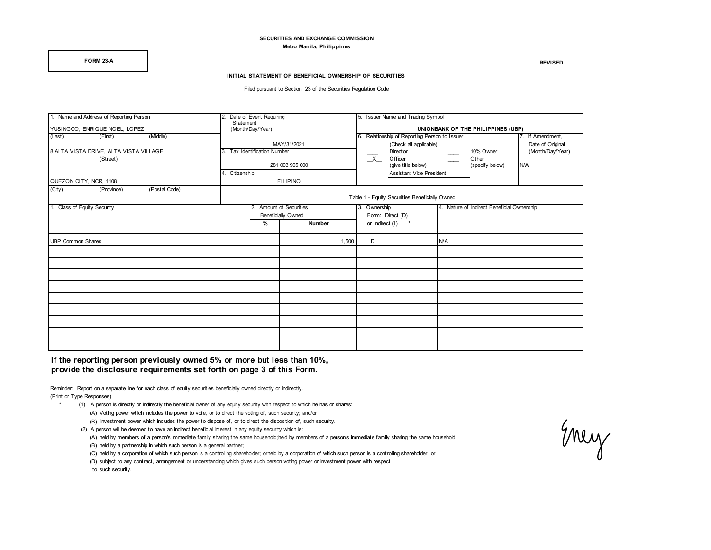#### **SECURITIES AND EXCHANGE COMMISSION Metro Manila, Philippines**

**FORM 23-A REVISED**

#### **INITIAL STATEMENT OF BENEFICIAL OWNERSHIP OF SECURITIES**

Filed pursuant to Section 23 of the Securities Regulation Code

| 1. Name and Address of Reporting Person |           | 2. Date of Event Requiring                     |        |                                    | 5. Issuer Name and Trading Symbol                                    |  |                                            |                  |  |  |
|-----------------------------------------|-----------|------------------------------------------------|--------|------------------------------------|----------------------------------------------------------------------|--|--------------------------------------------|------------------|--|--|
| YUSINGCO, ENRIQUE NOEL, LOPEZ           | Statement |                                                |        | UNIONBANK OF THE PHILIPPINES (UBP) |                                                                      |  |                                            |                  |  |  |
| (Middle)<br>(First)<br>(Last)           |           | (Month/Day/Year)                               |        |                                    | Relationship of Reporting Person to Issuer<br>7. If Amendment,<br>6. |  |                                            |                  |  |  |
|                                         |           | MAY/31/2021                                    |        |                                    | (Check all applicable)                                               |  |                                            | Date of Original |  |  |
| 8 ALTA VISTA DRIVE, ALTA VISTA VILLAGE, |           | 3. Tax Identification Number                   |        |                                    | Director                                                             |  | 10% Owner<br>Other                         | (Month/Day/Year) |  |  |
| (Street)                                |           |                                                |        |                                    | $\mathsf{X}$<br>Officer                                              |  |                                            |                  |  |  |
|                                         |           | 281 003 905 000<br>4. Citizenship              |        |                                    | (give title below)                                                   |  | (specify below)                            | N/A              |  |  |
|                                         |           |                                                |        |                                    | <b>Assistant Vice President</b>                                      |  |                                            |                  |  |  |
| QUEZON CITY, NCR, 1108                  |           | <b>FILIPINO</b>                                |        |                                    |                                                                      |  |                                            |                  |  |  |
| (City)<br>(Postal Code)<br>(Province)   |           |                                                |        |                                    |                                                                      |  |                                            |                  |  |  |
|                                         |           | Table 1 - Equity Securities Beneficially Owned |        |                                    |                                                                      |  |                                            |                  |  |  |
| 1. Class of Equity Security             |           | 2. Amount of Securities                        |        |                                    | 3. Ownership                                                         |  | 4. Nature of Indirect Beneficial Ownership |                  |  |  |
|                                         |           | <b>Beneficially Owned</b>                      |        | Form: Direct (D)                   |                                                                      |  |                                            |                  |  |  |
|                                         |           | %                                              | Number |                                    | or Indirect (I)<br>$\pmb{\ast}$                                      |  |                                            |                  |  |  |
| <b>UBP Common Shares</b>                |           |                                                | 1.500  |                                    | D                                                                    |  |                                            |                  |  |  |
|                                         |           |                                                |        |                                    |                                                                      |  |                                            |                  |  |  |
|                                         |           |                                                |        |                                    |                                                                      |  |                                            |                  |  |  |
|                                         |           |                                                |        |                                    |                                                                      |  |                                            |                  |  |  |
|                                         |           |                                                |        |                                    |                                                                      |  |                                            |                  |  |  |
|                                         |           |                                                |        |                                    |                                                                      |  |                                            |                  |  |  |
|                                         |           |                                                |        |                                    |                                                                      |  |                                            |                  |  |  |
|                                         |           |                                                |        |                                    |                                                                      |  |                                            |                  |  |  |
|                                         |           |                                                |        |                                    |                                                                      |  |                                            |                  |  |  |
|                                         |           |                                                |        |                                    |                                                                      |  |                                            |                  |  |  |

**If the reporting person previously owned 5% or more but less than 10%, provide the disclosure requirements set forth on page 3 of this Form.** 

Reminder: Report on a separate line for each class of equity securities beneficially owned directly or indirectly. (Print or Type Responses)

\* (1) A person is directly or indirectly the beneficial owner of any equity security with respect to which he has or shares:

- (A) Voting power which includes the power to vote, or to direct the voting of, such security; and/or
- (B) Investment power which includes the power to dispose of, or to direct the disposition of, such security.

(2) A person will be deemed to have an indirect beneficial interest in any equity security which is:

(A) held by members of a person's immediate family sharing the same household;held by members of a person's immediate family sharing the same household;

(B) held by a partnership in which such person is a general partner;

(C) held by a corporation of which such person is a controlling shareholder; orheld by a corporation of which such person is a controlling shareholder; or

(D) subject to any contract, arrangement or understanding which gives such person voting power or investment power with respect

to such security.

Enery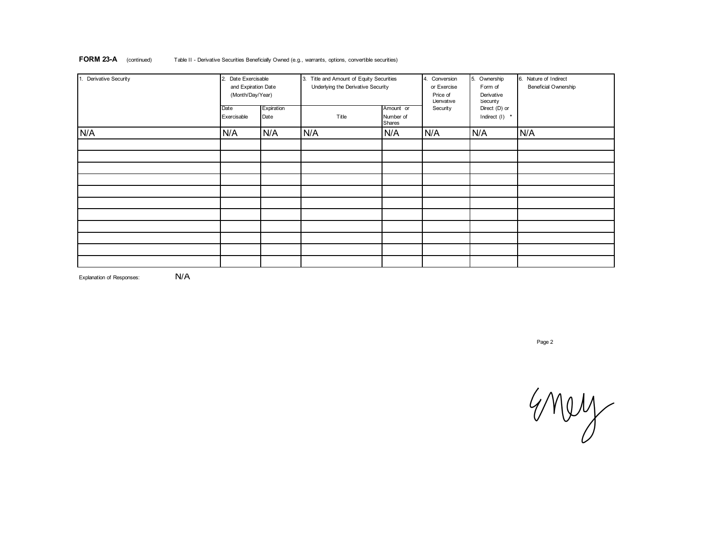| 1. Derivative Security | 2. Date Exercisable<br>and Expiration Date<br>(Month/Day/Year) |                    | 3.<br>Title and Amount of Equity Securities<br>Underlying the Derivative Security | 4. Conversion<br>or Exercise<br>Price of<br>Derivative | 5. Ownership<br>Form of<br>Derivative<br>Security | 6. Nature of Indirect<br><b>Beneficial Ownership</b> |     |
|------------------------|----------------------------------------------------------------|--------------------|-----------------------------------------------------------------------------------|--------------------------------------------------------|---------------------------------------------------|------------------------------------------------------|-----|
|                        | Date<br>Exercisable                                            | Expiration<br>Date | Title                                                                             | Amount or<br>Number of<br>Shares                       | Security                                          | Direct (D) or<br>Indirect $(I)$ *                    |     |
| N/A                    | N/A                                                            | N/A                | N/A                                                                               | N/A                                                    | N/A                                               | N/A                                                  | N/A |
|                        |                                                                |                    |                                                                                   |                                                        |                                                   |                                                      |     |
|                        |                                                                |                    |                                                                                   |                                                        |                                                   |                                                      |     |
|                        |                                                                |                    |                                                                                   |                                                        |                                                   |                                                      |     |
|                        |                                                                |                    |                                                                                   |                                                        |                                                   |                                                      |     |
|                        |                                                                |                    |                                                                                   |                                                        |                                                   |                                                      |     |

**FORM 23-A** (continued) Table II - Derivative Securities Beneficially Owned (e.g., warrants, options, convertible securities)

Explanation of Responses: **N/A** 

Page 2

Energy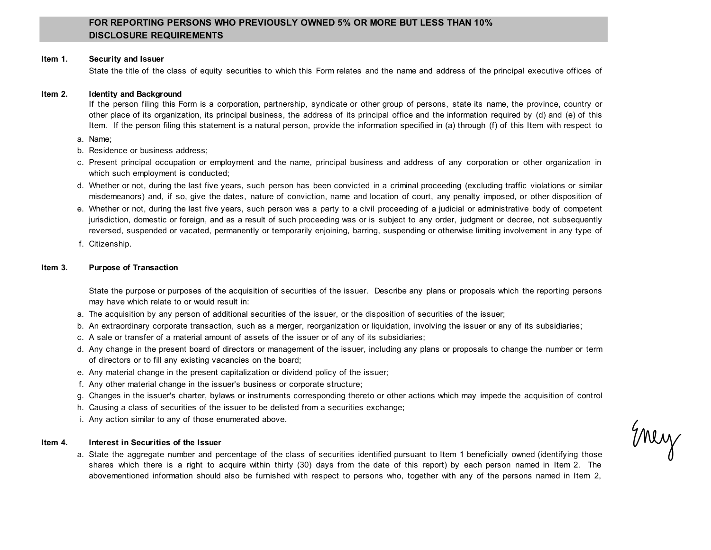# **FOR REPORTING PERSONS WHO PREVIOUSLY OWNED 5% OR MORE BUT LESS THAN 10% DISCLOSURE REQUIREMENTS**

### **Item 1. Security and Issuer**

State the title of the class of equity securities to which this Form relates and the name and address of the principal executive offices of

#### **Item 2. Identity and Background**

If the person filing this Form is a corporation, partnership, syndicate or other group of persons, state its name, the province, country or other place of its organization, its principal business, the address of its principal office and the information required by (d) and (e) of this Item. If the person filing this statement is a natural person, provide the information specified in (a) through (f) of this Item with respect to

- a. Name;
- b. Residence or business address;
- c. Present principal occupation or employment and the name, principal business and address of any corporation or other organization in which such employment is conducted;
- d. Whether or not, during the last five years, such person has been convicted in a criminal proceeding (excluding traffic violations or similar misdemeanors) and, if so, give the dates, nature of conviction, name and location of court, any penalty imposed, or other disposition of
- e. Whether or not, during the last five years, such person was a party to a civil proceeding of a judicial or administrative body of competent jurisdiction, domestic or foreign, and as a result of such proceeding was or is subject to any order, judgment or decree, not subsequently reversed, suspended or vacated, permanently or temporarily enjoining, barring, suspending or otherwise limiting involvement in any type of
- f. Citizenship.

### **Item 3. Purpose of Transaction**

State the purpose or purposes of the acquisition of securities of the issuer. Describe any plans or proposals which the reporting persons may have which relate to or would result in:

- a. The acquisition by any person of additional securities of the issuer, or the disposition of securities of the issuer;
- b. An extraordinary corporate transaction, such as a merger, reorganization or liquidation, involving the issuer or any of its subsidiaries;
- c. A sale or transfer of a material amount of assets of the issuer or of any of its subsidiaries;
- d. Any change in the present board of directors or management of the issuer, including any plans or proposals to change the number or term of directors or to fill any existing vacancies on the board;
- e. Any material change in the present capitalization or dividend policy of the issuer;
- f. Any other material change in the issuer's business or corporate structure;
- g. Changes in the issuer's charter, bylaws or instruments corresponding thereto or other actions which may impede the acquisition of control
- h. Causing a class of securities of the issuer to be delisted from a securities exchange;
- i. Any action similar to any of those enumerated above.

#### **Item 4. Interest in Securities of the Issuer**

a. State the aggregate number and percentage of the class of securities identified pursuant to Item 1 beneficially owned (identifying those shares which there is a right to acquire within thirty (30) days from the date of this report) by each person named in Item 2. The abovementioned information should also be furnished with respect to persons who, together with any of the persons named in Item 2,

Enery